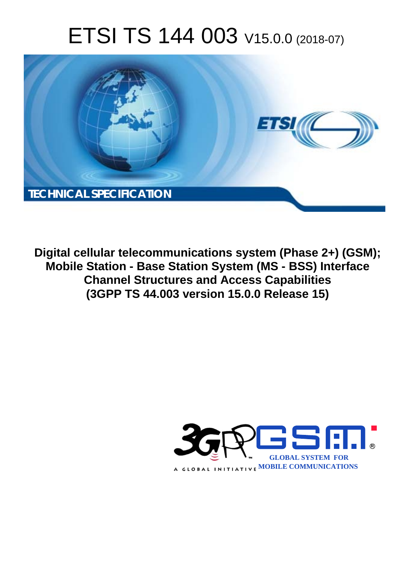# ETSI TS 144 003 V15.0.0 (2018-07)



**Digital cellular telecommunications system (Phase 2+) (GSM); Mobile Station - Base Station System (MS - BSS) Interface Channel Structures and Access Capabilities (3GPP TS 44.003 version 15.0.0 Release 15)** 

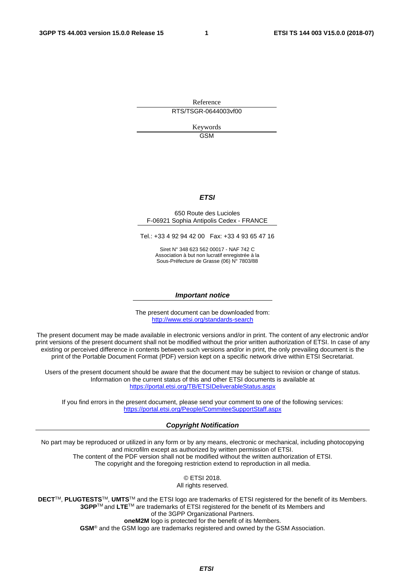Reference RTS/TSGR-0644003vf00

> Keywords GSM

#### *ETSI*

#### 650 Route des Lucioles F-06921 Sophia Antipolis Cedex - FRANCE

Tel.: +33 4 92 94 42 00 Fax: +33 4 93 65 47 16

Siret N° 348 623 562 00017 - NAF 742 C Association à but non lucratif enregistrée à la Sous-Préfecture de Grasse (06) N° 7803/88

#### *Important notice*

The present document can be downloaded from: <http://www.etsi.org/standards-search>

The present document may be made available in electronic versions and/or in print. The content of any electronic and/or print versions of the present document shall not be modified without the prior written authorization of ETSI. In case of any existing or perceived difference in contents between such versions and/or in print, the only prevailing document is the print of the Portable Document Format (PDF) version kept on a specific network drive within ETSI Secretariat.

Users of the present document should be aware that the document may be subject to revision or change of status. Information on the current status of this and other ETSI documents is available at <https://portal.etsi.org/TB/ETSIDeliverableStatus.aspx>

If you find errors in the present document, please send your comment to one of the following services: <https://portal.etsi.org/People/CommiteeSupportStaff.aspx>

#### *Copyright Notification*

No part may be reproduced or utilized in any form or by any means, electronic or mechanical, including photocopying and microfilm except as authorized by written permission of ETSI. The content of the PDF version shall not be modified without the written authorization of ETSI. The copyright and the foregoing restriction extend to reproduction in all media.

> © ETSI 2018. All rights reserved.

**DECT**TM, **PLUGTESTS**TM, **UMTS**TM and the ETSI logo are trademarks of ETSI registered for the benefit of its Members. **3GPP**TM and **LTE**TM are trademarks of ETSI registered for the benefit of its Members and of the 3GPP Organizational Partners. **oneM2M** logo is protected for the benefit of its Members.

**GSM**® and the GSM logo are trademarks registered and owned by the GSM Association.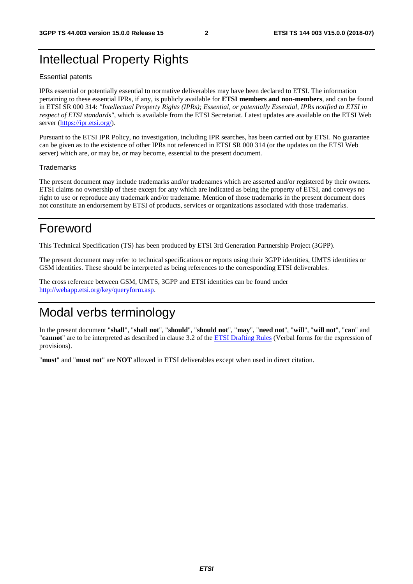### Intellectual Property Rights

#### Essential patents

IPRs essential or potentially essential to normative deliverables may have been declared to ETSI. The information pertaining to these essential IPRs, if any, is publicly available for **ETSI members and non-members**, and can be found in ETSI SR 000 314: *"Intellectual Property Rights (IPRs); Essential, or potentially Essential, IPRs notified to ETSI in respect of ETSI standards"*, which is available from the ETSI Secretariat. Latest updates are available on the ETSI Web server ([https://ipr.etsi.org/\)](https://ipr.etsi.org/).

Pursuant to the ETSI IPR Policy, no investigation, including IPR searches, has been carried out by ETSI. No guarantee can be given as to the existence of other IPRs not referenced in ETSI SR 000 314 (or the updates on the ETSI Web server) which are, or may be, or may become, essential to the present document.

#### **Trademarks**

The present document may include trademarks and/or tradenames which are asserted and/or registered by their owners. ETSI claims no ownership of these except for any which are indicated as being the property of ETSI, and conveys no right to use or reproduce any trademark and/or tradename. Mention of those trademarks in the present document does not constitute an endorsement by ETSI of products, services or organizations associated with those trademarks.

### Foreword

This Technical Specification (TS) has been produced by ETSI 3rd Generation Partnership Project (3GPP).

The present document may refer to technical specifications or reports using their 3GPP identities, UMTS identities or GSM identities. These should be interpreted as being references to the corresponding ETSI deliverables.

The cross reference between GSM, UMTS, 3GPP and ETSI identities can be found under [http://webapp.etsi.org/key/queryform.asp.](http://webapp.etsi.org/key/queryform.asp)

### Modal verbs terminology

In the present document "**shall**", "**shall not**", "**should**", "**should not**", "**may**", "**need not**", "**will**", "**will not**", "**can**" and "**cannot**" are to be interpreted as described in clause 3.2 of the [ETSI Drafting Rules](https://portal.etsi.org/Services/editHelp!/Howtostart/ETSIDraftingRules.aspx) (Verbal forms for the expression of provisions).

"**must**" and "**must not**" are **NOT** allowed in ETSI deliverables except when used in direct citation.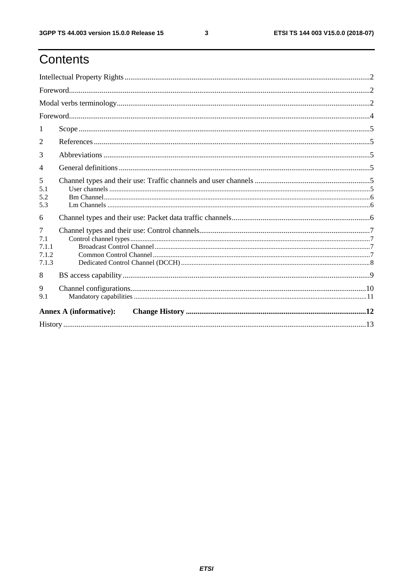## Contents

| 1                                   |                               |  |  |  |  |  |
|-------------------------------------|-------------------------------|--|--|--|--|--|
| 2                                   |                               |  |  |  |  |  |
| 3                                   |                               |  |  |  |  |  |
| $\overline{4}$                      |                               |  |  |  |  |  |
| 5<br>5.1<br>5.2<br>5.3              |                               |  |  |  |  |  |
| 6                                   |                               |  |  |  |  |  |
| 7<br>7.1<br>7.1.1<br>7.1.2<br>7.1.3 |                               |  |  |  |  |  |
| 8                                   |                               |  |  |  |  |  |
| 9<br>9.1                            |                               |  |  |  |  |  |
|                                     | <b>Annex A (informative):</b> |  |  |  |  |  |
|                                     |                               |  |  |  |  |  |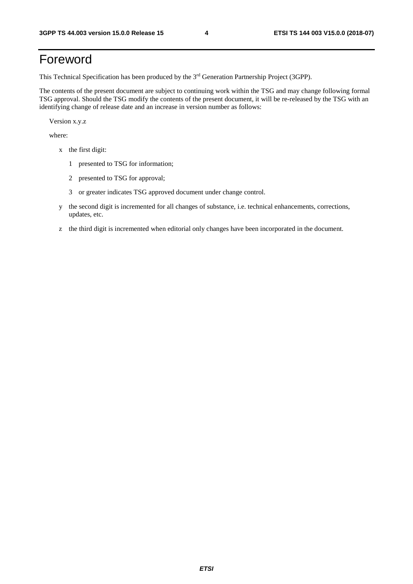## Foreword

This Technical Specification has been produced by the 3rd Generation Partnership Project (3GPP).

The contents of the present document are subject to continuing work within the TSG and may change following formal TSG approval. Should the TSG modify the contents of the present document, it will be re-released by the TSG with an identifying change of release date and an increase in version number as follows:

Version x.y.z

where:

- x the first digit:
	- 1 presented to TSG for information;
	- 2 presented to TSG for approval;
	- 3 or greater indicates TSG approved document under change control.
- y the second digit is incremented for all changes of substance, i.e. technical enhancements, corrections, updates, etc.
- z the third digit is incremented when editorial only changes have been incorporated in the document.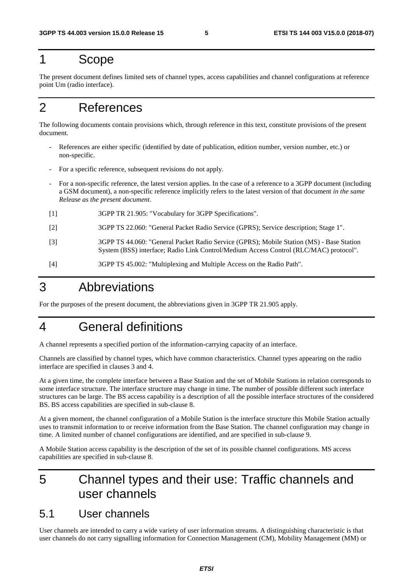### 1 Scope

The present document defines limited sets of channel types, access capabilities and channel configurations at reference point Um (radio interface).

## 2 References

The following documents contain provisions which, through reference in this text, constitute provisions of the present document.

- References are either specific (identified by date of publication, edition number, version number, etc.) or non-specific.
- For a specific reference, subsequent revisions do not apply.
- For a non-specific reference, the latest version applies. In the case of a reference to a 3GPP document (including a GSM document), a non-specific reference implicitly refers to the latest version of that document *in the same Release as the present document*.
- [1] 3GPP TR 21.905: "Vocabulary for 3GPP Specifications".
- [2] 3GPP TS 22.060: "General Packet Radio Service (GPRS); Service description; Stage 1".
- [3] 3GPP TS 44.060: "General Packet Radio Service (GPRS); Mobile Station (MS) Base Station System (BSS) interface; Radio Link Control/Medium Access Control (RLC/MAC) protocol".
- [4] 3GPP TS 45.002: "Multiplexing and Multiple Access on the Radio Path".

### 3 Abbreviations

For the purposes of the present document, the abbreviations given in 3GPP TR 21.905 apply.

### 4 General definitions

A channel represents a specified portion of the information-carrying capacity of an interface.

Channels are classified by channel types, which have common characteristics. Channel types appearing on the radio interface are specified in clauses 3 and 4.

At a given time, the complete interface between a Base Station and the set of Mobile Stations in relation corresponds to some interface structure. The interface structure may change in time. The number of possible different such interface structures can be large. The BS access capability is a description of all the possible interface structures of the considered BS. BS access capabilities are specified in sub-clause 8.

At a given moment, the channel configuration of a Mobile Station is the interface structure this Mobile Station actually uses to transmit information to or receive information from the Base Station. The channel configuration may change in time. A limited number of channel configurations are identified, and are specified in sub-clause 9.

A Mobile Station access capability is the description of the set of its possible channel configurations. MS access capabilities are specified in sub-clause 8.

### 5 Channel types and their use: Traffic channels and user channels

### 5.1 User channels

User channels are intended to carry a wide variety of user information streams. A distinguishing characteristic is that user channels do not carry signalling information for Connection Management (CM), Mobility Management (MM) or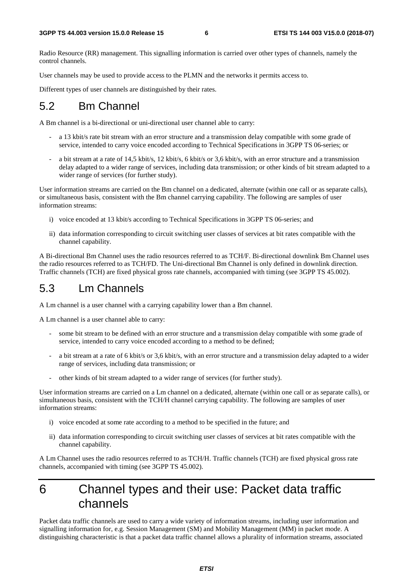Radio Resource (RR) management. This signalling information is carried over other types of channels, namely the control channels.

User channels may be used to provide access to the PLMN and the networks it permits access to.

Different types of user channels are distinguished by their rates.

### 5.2 Bm Channel

A Bm channel is a bi-directional or uni-directional user channel able to carry:

- a 13 kbit/s rate bit stream with an error structure and a transmission delay compatible with some grade of service, intended to carry voice encoded according to Technical Specifications in 3GPP TS 06-series; or
- a bit stream at a rate of 14,5 kbit/s, 12 kbit/s, 6 kbit/s or 3,6 kbit/s, with an error structure and a transmission delay adapted to a wider range of services, including data transmission; or other kinds of bit stream adapted to a wider range of services (for further study).

User information streams are carried on the Bm channel on a dedicated, alternate (within one call or as separate calls), or simultaneous basis, consistent with the Bm channel carrying capability. The following are samples of user information streams:

- i) voice encoded at 13 kbit/s according to Technical Specifications in 3GPP TS 06-series; and
- ii) data information corresponding to circuit switching user classes of services at bit rates compatible with the channel capability.

A Bi-directional Bm Channel uses the radio resources referred to as TCH/F. Bi-directional downlink Bm Channel uses the radio resources referred to as TCH/FD. The Uni-directional Bm Channel is only defined in downlink direction. Traffic channels (TCH) are fixed physical gross rate channels, accompanied with timing (see 3GPP TS 45.002).

### 5.3 Lm Channels

A Lm channel is a user channel with a carrying capability lower than a Bm channel.

A Lm channel is a user channel able to carry:

- some bit stream to be defined with an error structure and a transmission delay compatible with some grade of service, intended to carry voice encoded according to a method to be defined;
- a bit stream at a rate of 6 kbit/s or 3,6 kbit/s, with an error structure and a transmission delay adapted to a wider range of services, including data transmission; or
- other kinds of bit stream adapted to a wider range of services (for further study).

User information streams are carried on a Lm channel on a dedicated, alternate (within one call or as separate calls), or simultaneous basis, consistent with the TCH/H channel carrying capability. The following are samples of user information streams:

- i) voice encoded at some rate according to a method to be specified in the future; and
- ii) data information corresponding to circuit switching user classes of services at bit rates compatible with the channel capability.

A Lm Channel uses the radio resources referred to as TCH/H. Traffic channels (TCH) are fixed physical gross rate channels, accompanied with timing (see 3GPP TS 45.002).

### 6 Channel types and their use: Packet data traffic channels

Packet data traffic channels are used to carry a wide variety of information streams, including user information and signalling information for, e.g. Session Management (SM) and Mobility Management (MM) in packet mode. A distinguishing characteristic is that a packet data traffic channel allows a plurality of information streams, associated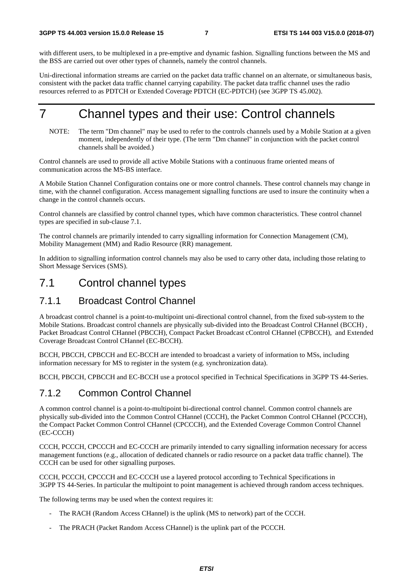with different users, to be multiplexed in a pre-emptive and dynamic fashion. Signalling functions between the MS and the BSS are carried out over other types of channels, namely the control channels.

Uni-directional information streams are carried on the packet data traffic channel on an alternate, or simultaneous basis, consistent with the packet data traffic channel carrying capability. The packet data traffic channel uses the radio resources referred to as PDTCH or Extended Coverage PDTCH (EC-PDTCH) (see 3GPP TS 45.002).

## 7 Channel types and their use: Control channels

NOTE: The term "Dm channel" may be used to refer to the controls channels used by a Mobile Station at a given moment, independently of their type. (The term "Dm channel" in conjunction with the packet control channels shall be avoided.)

Control channels are used to provide all active Mobile Stations with a continuous frame oriented means of communication across the MS-BS interface.

A Mobile Station Channel Configuration contains one or more control channels. These control channels may change in time, with the channel configuration. Access management signalling functions are used to insure the continuity when a change in the control channels occurs.

Control channels are classified by control channel types, which have common characteristics. These control channel types are specified in sub-clause 7.1.

The control channels are primarily intended to carry signalling information for Connection Management (CM), Mobility Management (MM) and Radio Resource (RR) management.

In addition to signalling information control channels may also be used to carry other data, including those relating to Short Message Services (SMS).

### 7.1 Control channel types

#### 7.1.1 Broadcast Control Channel

A broadcast control channel is a point-to-multipoint uni-directional control channel, from the fixed sub-system to the Mobile Stations. Broadcast control channels are physically sub-divided into the Broadcast Control CHannel (BCCH) , Packet Broadcast Control CHannel (PBCCH), Compact Packet Broadcast cControl CHannel (CPBCCH), and Extended Coverage Broadcast Control CHannel (EC-BCCH).

BCCH, PBCCH, CPBCCH and EC-BCCH are intended to broadcast a variety of information to MSs, including information necessary for MS to register in the system (e.g. synchronization data).

BCCH, PBCCH, CPBCCH and EC-BCCH use a protocol specified in Technical Specifications in 3GPP TS 44-Series.

### 7.1.2 Common Control Channel

A common control channel is a point-to-multipoint bi-directional control channel. Common control channels are physically sub-divided into the Common Control CHannel (CCCH), the Packet Common Control CHannel (PCCCH), the Compact Packet Common Control CHannel (CPCCCH), and the Extended Coverage Common Control Channel (EC-CCCH)

CCCH, PCCCH, CPCCCH and EC-CCCH are primarily intended to carry signalling information necessary for access management functions (e.g., allocation of dedicated channels or radio resource on a packet data traffic channel). The CCCH can be used for other signalling purposes.

CCCH, PCCCH, CPCCCH and EC-CCCH use a layered protocol according to Technical Specifications in 3GPP TS 44-Series. In particular the multipoint to point management is achieved through random access techniques.

The following terms may be used when the context requires it:

- The RACH (Random Access CHannel) is the uplink (MS to network) part of the CCCH.
- The PRACH (Packet Random Access CHannel) is the uplink part of the PCCCH.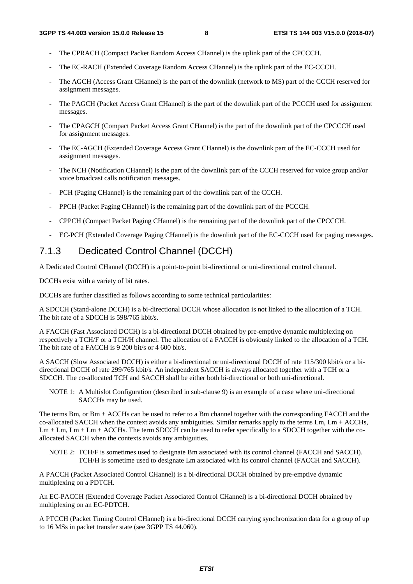- The CPRACH (Compact Packet Random Access CHannel) is the uplink part of the CPCCCH.
- The EC-RACH (Extended Coverage Random Access CHannel) is the uplink part of the EC-CCCH.
- The AGCH (Access Grant CHannel) is the part of the downlink (network to MS) part of the CCCH reserved for assignment messages.
- The PAGCH (Packet Access Grant CHannel) is the part of the downlink part of the PCCCH used for assignment messages.
- The CPAGCH (Compact Packet Access Grant CHannel) is the part of the downlink part of the CPCCCH used for assignment messages.
- The EC-AGCH (Extended Coverage Access Grant CHannel) is the downlink part of the EC-CCCH used for assignment messages.
- The NCH (Notification CHannel) is the part of the downlink part of the CCCH reserved for voice group and/or voice broadcast calls notification messages.
- PCH (Paging CHannel) is the remaining part of the downlink part of the CCCH.
- PPCH (Packet Paging CHannel) is the remaining part of the downlink part of the PCCCH.
- CPPCH (Compact Packet Paging CHannel) is the remaining part of the downlink part of the CPCCCH.
- EC-PCH (Extended Coverage Paging CHannel) is the downlink part of the EC-CCCH used for paging messages.

### 7.1.3 Dedicated Control Channel (DCCH)

A Dedicated Control CHannel (DCCH) is a point-to-point bi-directional or uni-directional control channel.

DCCHs exist with a variety of bit rates.

DCCHs are further classified as follows according to some technical particularities:

A SDCCH (Stand-alone DCCH) is a bi-directional DCCH whose allocation is not linked to the allocation of a TCH. The bit rate of a SDCCH is 598/765 kbit/s.

A FACCH (Fast Associated DCCH) is a bi-directional DCCH obtained by pre-emptive dynamic multiplexing on respectively a TCH/F or a TCH/H channel. The allocation of a FACCH is obviously linked to the allocation of a TCH. The bit rate of a FACCH is 9 200 bit/s or 4 600 bit/s.

A SACCH (Slow Associated DCCH) is either a bi-directional or uni-directional DCCH of rate 115/300 kbit/s or a bidirectional DCCH of rate 299/765 kbit/s. An independent SACCH is always allocated together with a TCH or a SDCCH. The co-allocated TCH and SACCH shall be either both bi-directional or both uni-directional.

NOTE 1: A Multislot Configuration (described in sub-clause 9) is an example of a case where uni-directional SACCHs may be used.

The terms Bm, or Bm + ACCHs can be used to refer to a Bm channel together with the corresponding FACCH and the co-allocated SACCH when the context avoids any ambiguities. Similar remarks apply to the terms Lm, Lm + ACCHs,  $Lm + Lm$ ,  $Lm + Lm + ACCHs$ . The term SDCCH can be used to refer specifically to a SDCCH together with the coallocated SACCH when the contexts avoids any ambiguities.

NOTE 2: TCH/F is sometimes used to designate Bm associated with its control channel (FACCH and SACCH). TCH/H is sometime used to designate Lm associated with its control channel (FACCH and SACCH).

A PACCH (Packet Associated Control CHannel) is a bi-directional DCCH obtained by pre-emptive dynamic multiplexing on a PDTCH.

An EC-PACCH (Extended Coverage Packet Associated Control CHannel) is a bi-directional DCCH obtained by multiplexing on an EC-PDTCH.

A PTCCH (Packet Timing Control CHannel) is a bi-directional DCCH carrying synchronization data for a group of up to 16 MSs in packet transfer state (see 3GPP TS 44.060).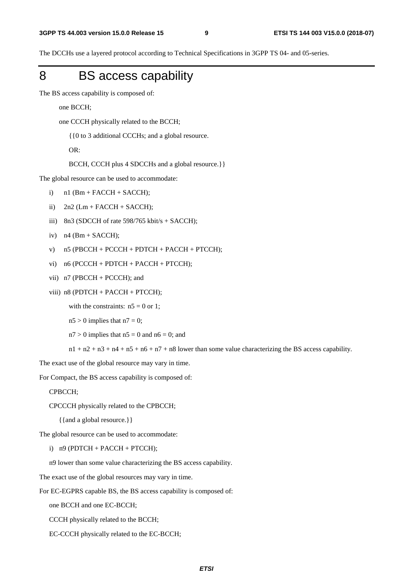The DCCHs use a layered protocol according to Technical Specifications in 3GPP TS 04- and 05-series.

## 8 BS access capability

The BS access capability is composed of:

one BCCH;

one CCCH physically related to the BCCH;

{{0 to 3 additional CCCHs; and a global resource.

OR:

BCCH, CCCH plus 4 SDCCHs and a global resource.}}

The global resource can be used to accommodate:

- i)  $n1 (Bm + FACTH + SACCH);$
- ii)  $2n2$  (Lm + FACCH + SACCH);
- iii) 8n3 (SDCCH of rate 598/765 kbit/s + SACCH);
- iv)  $n4$  (Bm + SACCH);
- v)  $n5 (PBCCH + PCCCH + PDTCH + PACCH + PTCCH);$

vi)  $n6 (PCCCH + PDTCH + PACCH + PTCCH);$ 

- vii)  $n7$  (PBCCH + PCCCH); and
- viii)  $n8$  (PDTCH + PACCH + PTCCH);

with the constraints:  $n5 = 0$  or 1;

- $n5 > 0$  implies that  $n7 = 0$ ;
- $n7 > 0$  implies that  $n5 = 0$  and  $n6 = 0$ ; and
- $n1 + n2 + n3 + n4 + n5 + n6 + n7 + n8$  lower than some value characterizing the BS access capability.

The exact use of the global resource may vary in time.

For Compact, the BS access capability is composed of:

#### CPBCCH;

CPCCCH physically related to the CPBCCH;

{{and a global resource.}}

The global resource can be used to accommodate:

i)  $n9 (PDTCH + PACCH + PTCCH);$ 

n9 lower than some value characterizing the BS access capability.

The exact use of the global resources may vary in time.

For EC-EGPRS capable BS, the BS access capability is composed of:

one BCCH and one EC-BCCH;

CCCH physically related to the BCCH;

EC-CCCH physically related to the EC-BCCH;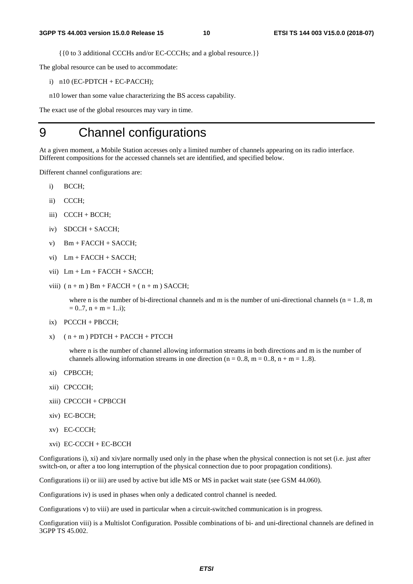{{0 to 3 additional CCCHs and/or EC-CCCHs; and a global resource.}}

The global resource can be used to accommodate:

- i)  $n10$  (EC-PDTCH + EC-PACCH);
- n10 lower than some value characterizing the BS access capability.

The exact use of the global resources may vary in time.

### 9 Channel configurations

At a given moment, a Mobile Station accesses only a limited number of channels appearing on its radio interface. Different compositions for the accessed channels set are identified, and specified below.

Different channel configurations are:

- i) BCCH;
- ii) CCCH;
- iii) CCCH + BCCH;
- iv) SDCCH + SACCH;
- $v)$  Bm + FACCH + SACCH;
- vi) Lm + FACCH + SACCH;
- vii)  $Lm + Lm + FACCH + SACCH$ ;
- viii)  $(n + m)$  Bm + FACCH +  $(n + m)$  SACCH;

where n is the number of bi-directional channels and m is the number of uni-directional channels  $(n = 1..8, m)$  $= 0..7$ ,  $n + m = 1..i$ ;

- ix) PCCCH + PBCCH;
- $x)$  (  $n + m$  ) PDTCH + PACCH + PTCCH

 where n is the number of channel allowing information streams in both directions and m is the number of channels allowing information streams in one direction ( $n = 0.08$ ,  $m = 0.08$ ,  $n + m = 1.08$ ).

- xi) CPBCCH;
- xii) CPCCCH;
- xiii) CPCCCH + CPBCCH
- xiv) EC-BCCH;
- xv) EC-CCCH;
- xvi) EC-CCCH + EC-BCCH

Configurations i), xi) and xiv)are normally used only in the phase when the physical connection is not set (i.e. just after switch-on, or after a too long interruption of the physical connection due to poor propagation conditions).

Configurations ii) or iii) are used by active but idle MS or MS in packet wait state (see GSM 44.060).

Configurations iv) is used in phases when only a dedicated control channel is needed.

Configurations v) to viii) are used in particular when a circuit-switched communication is in progress.

Configuration viii) is a Multislot Configuration. Possible combinations of bi- and uni-directional channels are defined in 3GPP TS 45.002.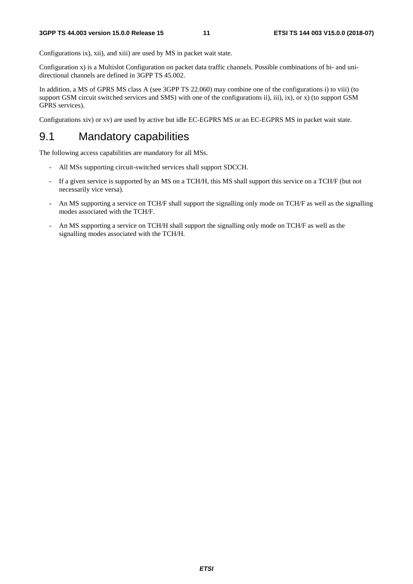Configurations ix), xii), and xiii) are used by MS in packet wait state.

Configuration x) is a Multislot Configuration on packet data traffic channels. Possible combinations of bi- and unidirectional channels are defined in 3GPP TS 45.002.

In addition, a MS of GPRS MS class A (see 3GPP TS 22.060) may combine one of the configurations i) to viii) (to support GSM circuit switched services and SMS) with one of the configurations ii), iii), ix), or x) (to support GSM GPRS services).

Configurations xiv) or xv) are used by active but idle EC-EGPRS MS or an EC-EGPRS MS in packet wait state.

### 9.1 Mandatory capabilities

The following access capabilities are mandatory for all MSs.

- All MSs supporting circuit-switched services shall support SDCCH.
- If a given service is supported by an MS on a TCH/H, this MS shall support this service on a TCH/F (but not necessarily vice versa).
- An MS supporting a service on TCH/F shall support the signalling only mode on TCH/F as well as the signalling modes associated with the TCH/F.
- An MS supporting a service on TCH/H shall support the signalling only mode on TCH/F as well as the signalling modes associated with the TCH/H.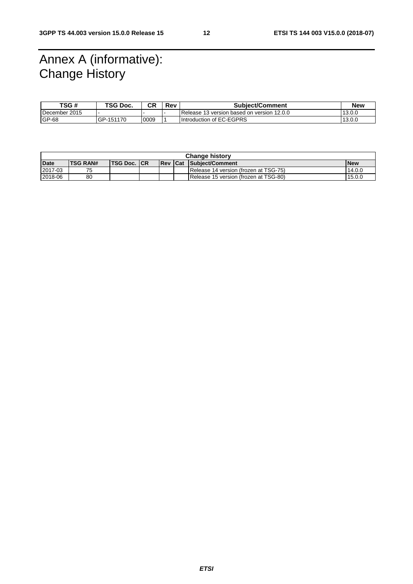## Annex A (informative): Change History

| TSG #         | TSG Doc.  | СR   | Rev | Subject/Comment                            | <b>New</b> |
|---------------|-----------|------|-----|--------------------------------------------|------------|
| December 2015 |           |      |     | Release 13 version based on version 12.0.0 | 13.0.0     |
| GP-68         | GP-151170 | 0009 |     | Introduction of EC-EGPRS                   | 13.0.0     |

| <b>Change history</b> |                 |                     |  |  |  |                                       |        |
|-----------------------|-----------------|---------------------|--|--|--|---------------------------------------|--------|
| <b>Date</b>           | <b>TSG RAN#</b> | <b>TSG Doc. ICR</b> |  |  |  | <b>IRev Cat Subiect/Comment</b>       | l New  |
| 2017-03               | 75              |                     |  |  |  | Release 14 version (frozen at TSG-75) | 14.0.0 |
| 2018-06               | 80              |                     |  |  |  | Release 15 version (frozen at TSG-80) | 15.0.0 |